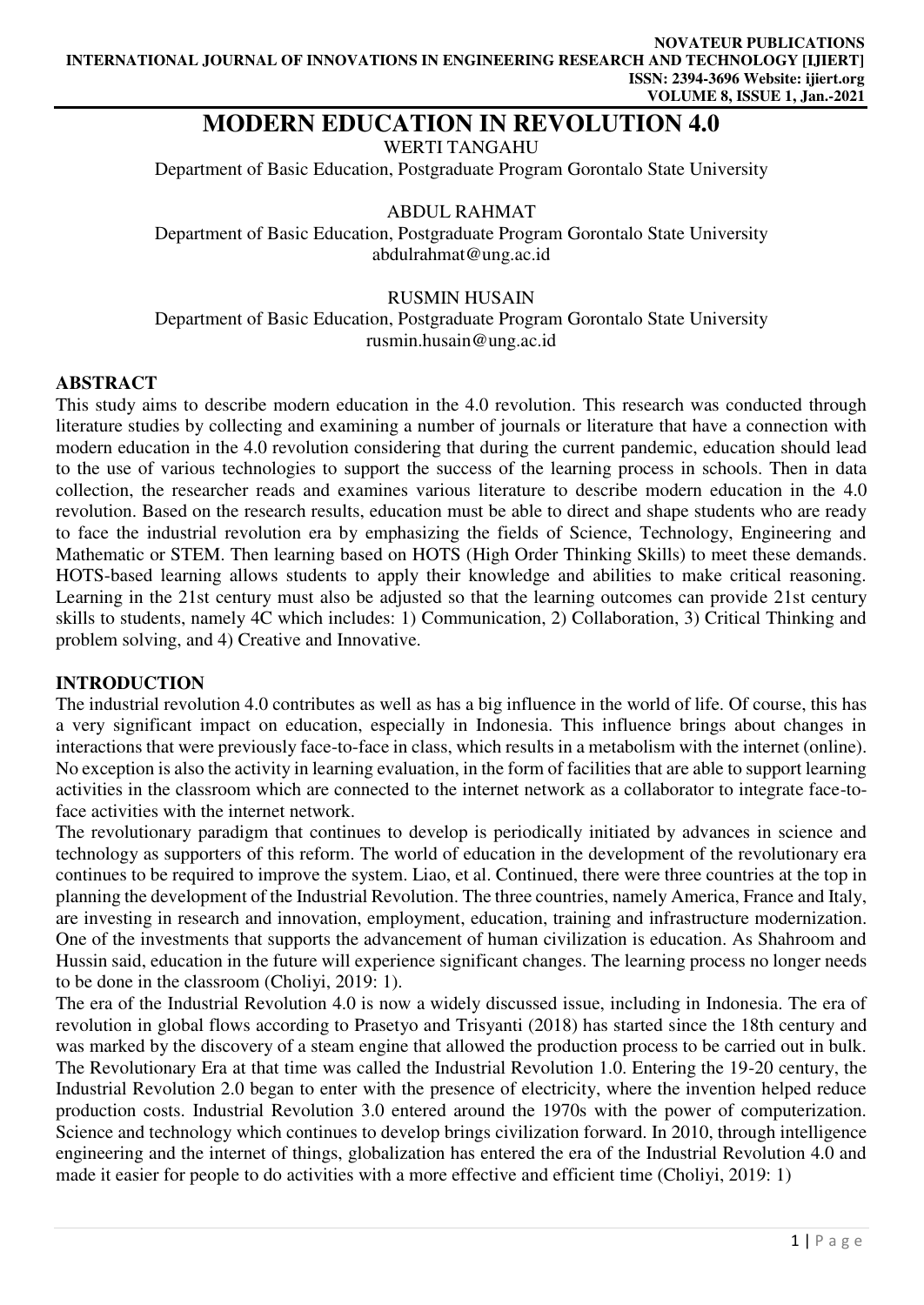# **MODERN EDUCATION IN REVOLUTION 4.0**

WERTI TANGAHU

Department of Basic Education, Postgraduate Program Gorontalo State University

ABDUL RAHMAT

Department of Basic Education, Postgraduate Program Gorontalo State University abdulrahmat@ung.ac.id

### RUSMIN HUSAIN

Department of Basic Education, Postgraduate Program Gorontalo State University rusmin.husain@ung.ac.id

### **ABSTRACT**

This study aims to describe modern education in the 4.0 revolution. This research was conducted through literature studies by collecting and examining a number of journals or literature that have a connection with modern education in the 4.0 revolution considering that during the current pandemic, education should lead to the use of various technologies to support the success of the learning process in schools. Then in data collection, the researcher reads and examines various literature to describe modern education in the 4.0 revolution. Based on the research results, education must be able to direct and shape students who are ready to face the industrial revolution era by emphasizing the fields of Science, Technology, Engineering and Mathematic or STEM. Then learning based on HOTS (High Order Thinking Skills) to meet these demands. HOTS-based learning allows students to apply their knowledge and abilities to make critical reasoning. Learning in the 21st century must also be adjusted so that the learning outcomes can provide 21st century skills to students, namely 4C which includes: 1) Communication, 2) Collaboration, 3) Critical Thinking and problem solving, and 4) Creative and Innovative.

### **INTRODUCTION**

The industrial revolution 4.0 contributes as well as has a big influence in the world of life. Of course, this has a very significant impact on education, especially in Indonesia. This influence brings about changes in interactions that were previously face-to-face in class, which results in a metabolism with the internet (online). No exception is also the activity in learning evaluation, in the form of facilities that are able to support learning activities in the classroom which are connected to the internet network as a collaborator to integrate face-toface activities with the internet network.

The revolutionary paradigm that continues to develop is periodically initiated by advances in science and technology as supporters of this reform. The world of education in the development of the revolutionary era continues to be required to improve the system. Liao, et al. Continued, there were three countries at the top in planning the development of the Industrial Revolution. The three countries, namely America, France and Italy, are investing in research and innovation, employment, education, training and infrastructure modernization. One of the investments that supports the advancement of human civilization is education. As Shahroom and Hussin said, education in the future will experience significant changes. The learning process no longer needs to be done in the classroom (Choliyi, 2019: 1).

The era of the Industrial Revolution 4.0 is now a widely discussed issue, including in Indonesia. The era of revolution in global flows according to Prasetyo and Trisyanti (2018) has started since the 18th century and was marked by the discovery of a steam engine that allowed the production process to be carried out in bulk. The Revolutionary Era at that time was called the Industrial Revolution 1.0. Entering the 19-20 century, the Industrial Revolution 2.0 began to enter with the presence of electricity, where the invention helped reduce production costs. Industrial Revolution 3.0 entered around the 1970s with the power of computerization. Science and technology which continues to develop brings civilization forward. In 2010, through intelligence engineering and the internet of things, globalization has entered the era of the Industrial Revolution 4.0 and made it easier for people to do activities with a more effective and efficient time (Choliyi, 2019: 1)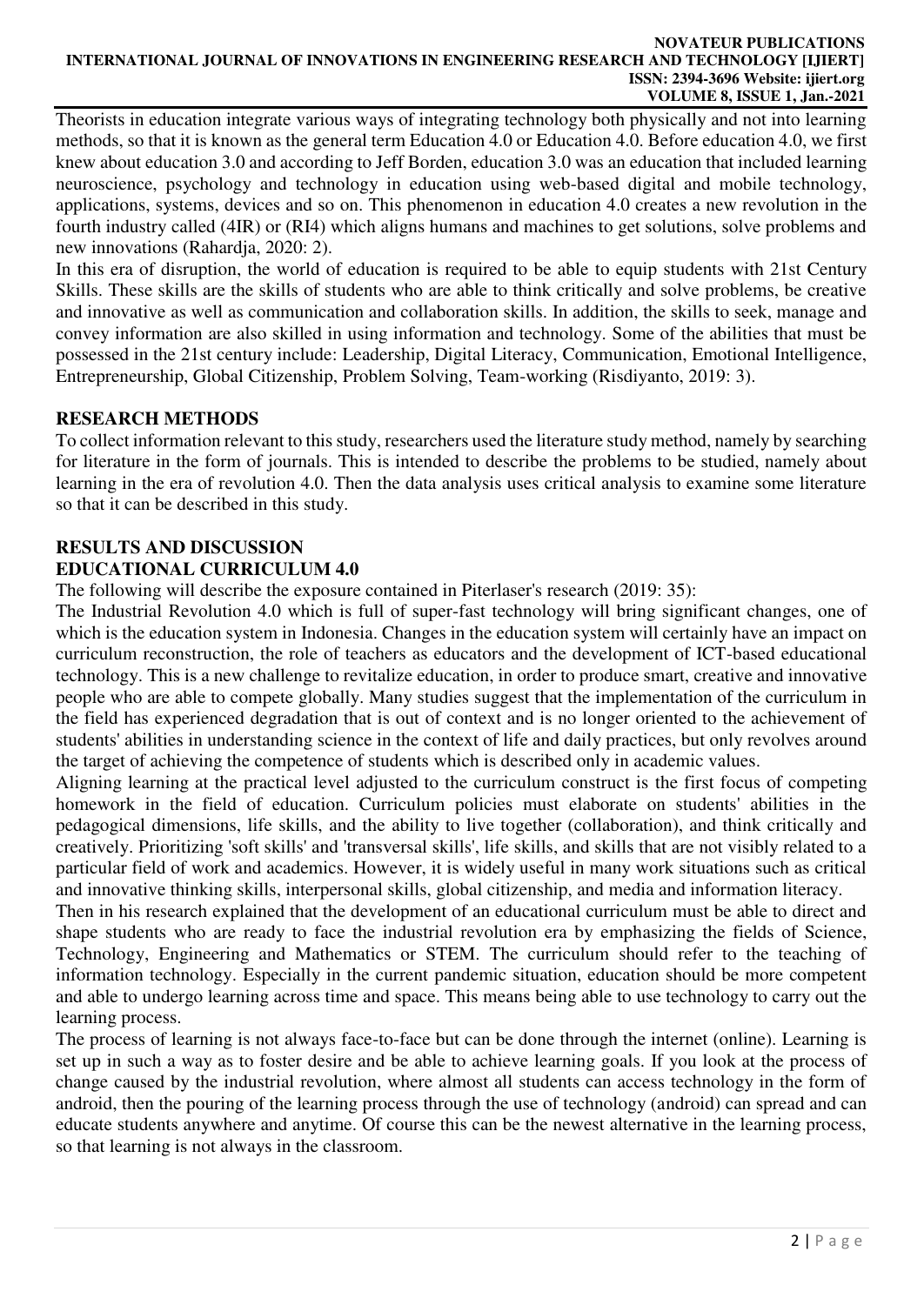#### **NOVATEUR PUBLICATIONS INTERNATIONAL JOURNAL OF INNOVATIONS IN ENGINEERING RESEARCH AND TECHNOLOGY [IJIERT] ISSN: 2394-3696 Website: ijiert.org VOLUME 8, ISSUE 1, Jan.-2021**

Theorists in education integrate various ways of integrating technology both physically and not into learning methods, so that it is known as the general term Education 4.0 or Education 4.0. Before education 4.0, we first knew about education 3.0 and according to Jeff Borden, education 3.0 was an education that included learning neuroscience, psychology and technology in education using web-based digital and mobile technology, applications, systems, devices and so on. This phenomenon in education 4.0 creates a new revolution in the fourth industry called (4IR) or (RI4) which aligns humans and machines to get solutions, solve problems and new innovations (Rahardja, 2020: 2).

In this era of disruption, the world of education is required to be able to equip students with 21st Century Skills. These skills are the skills of students who are able to think critically and solve problems, be creative and innovative as well as communication and collaboration skills. In addition, the skills to seek, manage and convey information are also skilled in using information and technology. Some of the abilities that must be possessed in the 21st century include: Leadership, Digital Literacy, Communication, Emotional Intelligence, Entrepreneurship, Global Citizenship, Problem Solving, Team-working (Risdiyanto, 2019: 3).

### **RESEARCH METHODS**

To collect information relevant to this study, researchers used the literature study method, namely by searching for literature in the form of journals. This is intended to describe the problems to be studied, namely about learning in the era of revolution 4.0. Then the data analysis uses critical analysis to examine some literature so that it can be described in this study.

### **RESULTS AND DISCUSSION EDUCATIONAL CURRICULUM 4.0**

The following will describe the exposure contained in Piterlaser's research (2019: 35):

The Industrial Revolution 4.0 which is full of super-fast technology will bring significant changes, one of which is the education system in Indonesia. Changes in the education system will certainly have an impact on curriculum reconstruction, the role of teachers as educators and the development of ICT-based educational technology. This is a new challenge to revitalize education, in order to produce smart, creative and innovative people who are able to compete globally. Many studies suggest that the implementation of the curriculum in the field has experienced degradation that is out of context and is no longer oriented to the achievement of students' abilities in understanding science in the context of life and daily practices, but only revolves around the target of achieving the competence of students which is described only in academic values.

Aligning learning at the practical level adjusted to the curriculum construct is the first focus of competing homework in the field of education. Curriculum policies must elaborate on students' abilities in the pedagogical dimensions, life skills, and the ability to live together (collaboration), and think critically and creatively. Prioritizing 'soft skills' and 'transversal skills', life skills, and skills that are not visibly related to a particular field of work and academics. However, it is widely useful in many work situations such as critical and innovative thinking skills, interpersonal skills, global citizenship, and media and information literacy.

Then in his research explained that the development of an educational curriculum must be able to direct and shape students who are ready to face the industrial revolution era by emphasizing the fields of Science, Technology, Engineering and Mathematics or STEM. The curriculum should refer to the teaching of information technology. Especially in the current pandemic situation, education should be more competent and able to undergo learning across time and space. This means being able to use technology to carry out the learning process.

The process of learning is not always face-to-face but can be done through the internet (online). Learning is set up in such a way as to foster desire and be able to achieve learning goals. If you look at the process of change caused by the industrial revolution, where almost all students can access technology in the form of android, then the pouring of the learning process through the use of technology (android) can spread and can educate students anywhere and anytime. Of course this can be the newest alternative in the learning process, so that learning is not always in the classroom.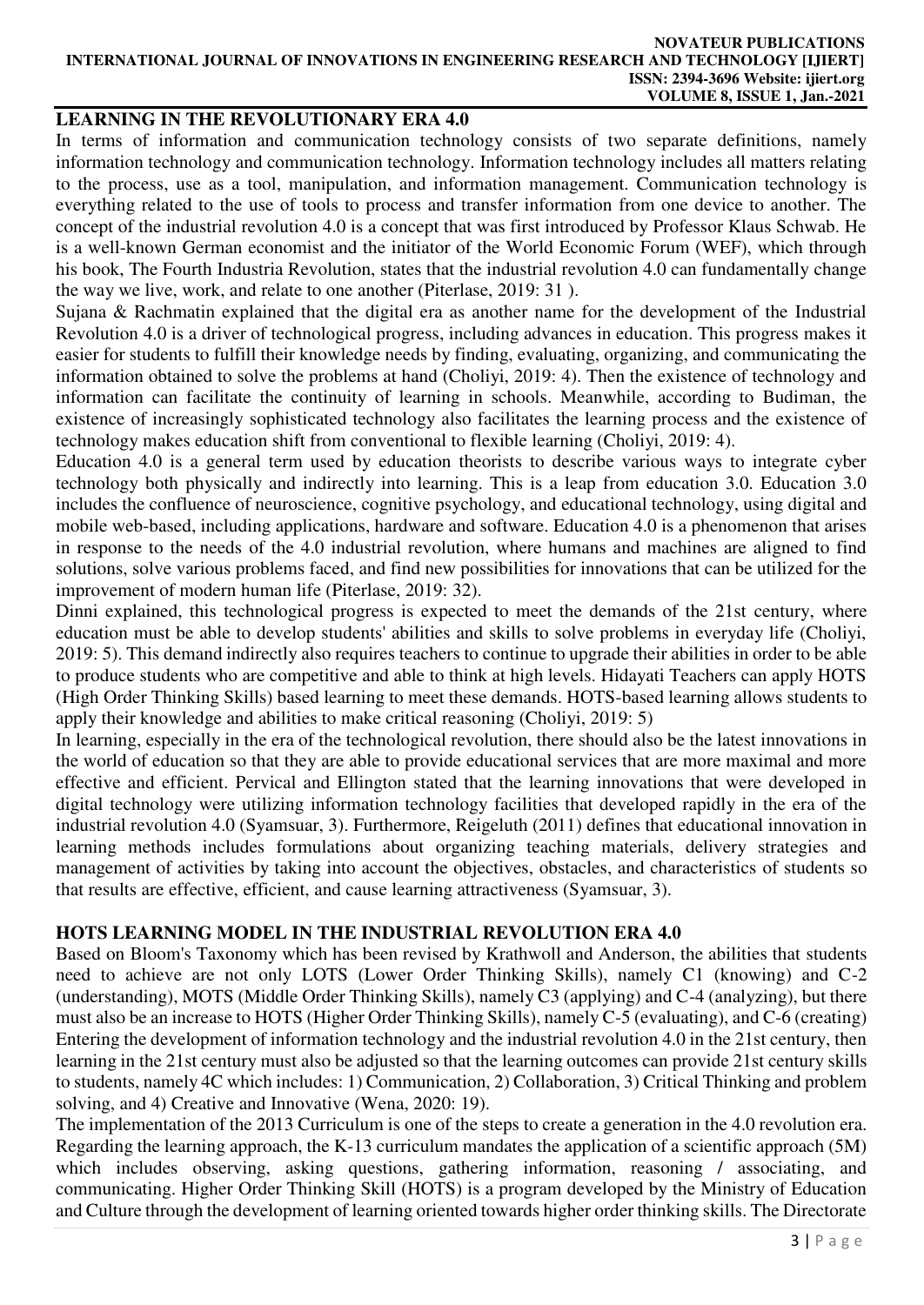#### **NOVATEUR PUBLICATIONS INTERNATIONAL JOURNAL OF INNOVATIONS IN ENGINEERING RESEARCH AND TECHNOLOGY [IJIERT] ISSN: 2394-3696 Website: ijiert.org VOLUME 8, ISSUE 1, Jan.-2021**

### **LEARNING IN THE REVOLUTIONARY ERA 4.0**

In terms of information and communication technology consists of two separate definitions, namely information technology and communication technology. Information technology includes all matters relating to the process, use as a tool, manipulation, and information management. Communication technology is everything related to the use of tools to process and transfer information from one device to another. The concept of the industrial revolution 4.0 is a concept that was first introduced by Professor Klaus Schwab. He is a well-known German economist and the initiator of the World Economic Forum (WEF), which through his book, The Fourth Industria Revolution, states that the industrial revolution 4.0 can fundamentally change the way we live, work, and relate to one another (Piterlase, 2019: 31 ).

Sujana & Rachmatin explained that the digital era as another name for the development of the Industrial Revolution 4.0 is a driver of technological progress, including advances in education. This progress makes it easier for students to fulfill their knowledge needs by finding, evaluating, organizing, and communicating the information obtained to solve the problems at hand (Choliyi, 2019: 4). Then the existence of technology and information can facilitate the continuity of learning in schools. Meanwhile, according to Budiman, the existence of increasingly sophisticated technology also facilitates the learning process and the existence of technology makes education shift from conventional to flexible learning (Choliyi, 2019: 4).

Education 4.0 is a general term used by education theorists to describe various ways to integrate cyber technology both physically and indirectly into learning. This is a leap from education 3.0. Education 3.0 includes the confluence of neuroscience, cognitive psychology, and educational technology, using digital and mobile web-based, including applications, hardware and software. Education 4.0 is a phenomenon that arises in response to the needs of the 4.0 industrial revolution, where humans and machines are aligned to find solutions, solve various problems faced, and find new possibilities for innovations that can be utilized for the improvement of modern human life (Piterlase, 2019: 32).

Dinni explained, this technological progress is expected to meet the demands of the 21st century, where education must be able to develop students' abilities and skills to solve problems in everyday life (Choliyi, 2019: 5). This demand indirectly also requires teachers to continue to upgrade their abilities in order to be able to produce students who are competitive and able to think at high levels. Hidayati Teachers can apply HOTS (High Order Thinking Skills) based learning to meet these demands. HOTS-based learning allows students to apply their knowledge and abilities to make critical reasoning (Choliyi, 2019: 5)

In learning, especially in the era of the technological revolution, there should also be the latest innovations in the world of education so that they are able to provide educational services that are more maximal and more effective and efficient. Pervical and Ellington stated that the learning innovations that were developed in digital technology were utilizing information technology facilities that developed rapidly in the era of the industrial revolution 4.0 (Syamsuar, 3). Furthermore, Reigeluth (2011) defines that educational innovation in learning methods includes formulations about organizing teaching materials, delivery strategies and management of activities by taking into account the objectives, obstacles, and characteristics of students so that results are effective, efficient, and cause learning attractiveness (Syamsuar, 3).

### **HOTS LEARNING MODEL IN THE INDUSTRIAL REVOLUTION ERA 4.0**

Based on Bloom's Taxonomy which has been revised by Krathwoll and Anderson, the abilities that students need to achieve are not only LOTS (Lower Order Thinking Skills), namely C1 (knowing) and C-2 (understanding), MOTS (Middle Order Thinking Skills), namely C3 (applying) and C-4 (analyzing), but there must also be an increase to HOTS (Higher Order Thinking Skills), namely C-5 (evaluating), and C-6 (creating) Entering the development of information technology and the industrial revolution 4.0 in the 21st century, then learning in the 21st century must also be adjusted so that the learning outcomes can provide 21st century skills to students, namely 4C which includes: 1) Communication, 2) Collaboration, 3) Critical Thinking and problem solving, and 4) Creative and Innovative (Wena, 2020: 19).

The implementation of the 2013 Curriculum is one of the steps to create a generation in the 4.0 revolution era. Regarding the learning approach, the K-13 curriculum mandates the application of a scientific approach (5M) which includes observing, asking questions, gathering information, reasoning / associating, and communicating. Higher Order Thinking Skill (HOTS) is a program developed by the Ministry of Education and Culture through the development of learning oriented towards higher order thinking skills. The Directorate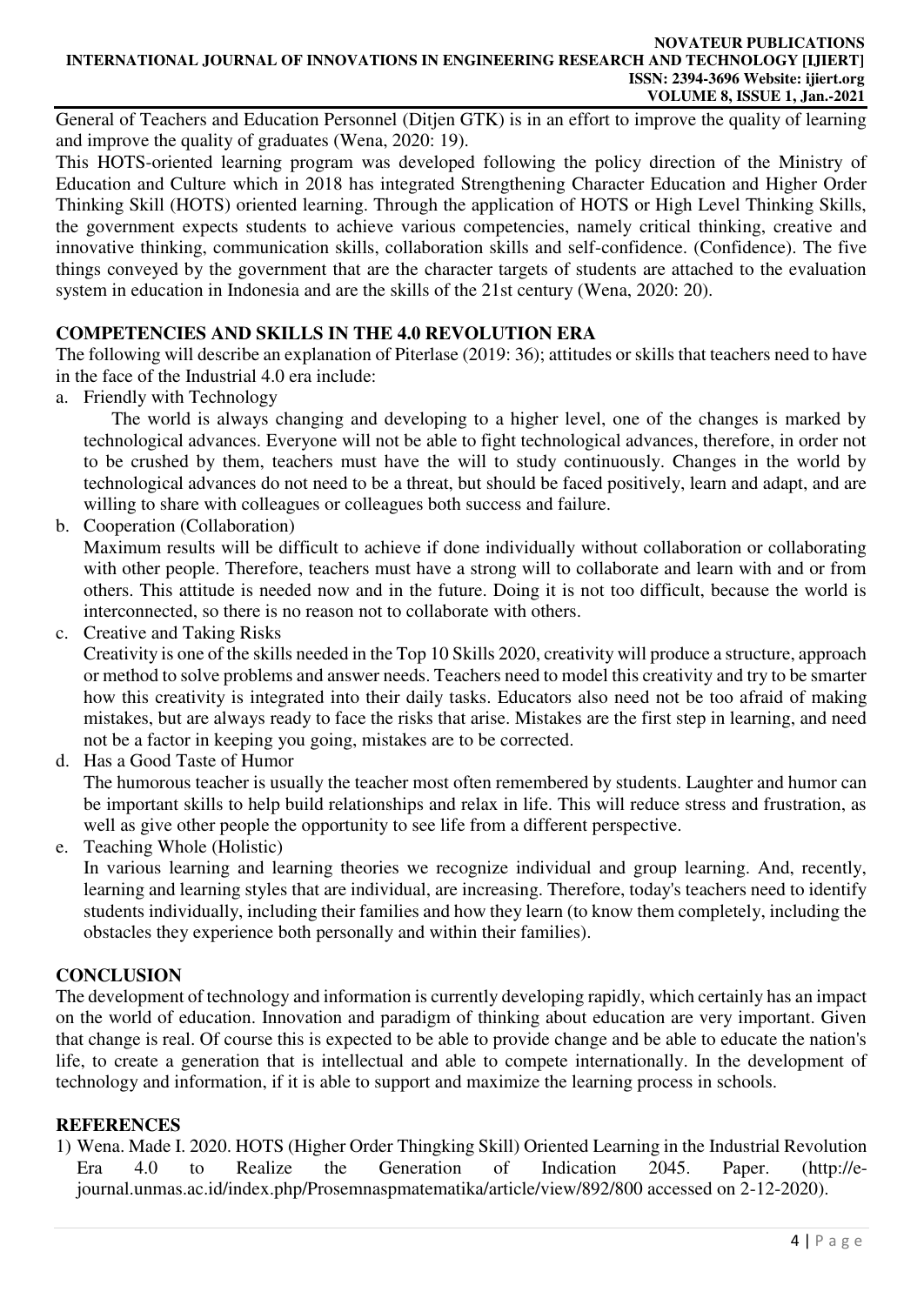#### **NOVATEUR PUBLICATIONS INTERNATIONAL JOURNAL OF INNOVATIONS IN ENGINEERING RESEARCH AND TECHNOLOGY [IJIERT] ISSN: 2394-3696 Website: ijiert.org VOLUME 8, ISSUE 1, Jan.-2021**

General of Teachers and Education Personnel (Ditjen GTK) is in an effort to improve the quality of learning and improve the quality of graduates (Wena, 2020: 19).

This HOTS-oriented learning program was developed following the policy direction of the Ministry of Education and Culture which in 2018 has integrated Strengthening Character Education and Higher Order Thinking Skill (HOTS) oriented learning. Through the application of HOTS or High Level Thinking Skills, the government expects students to achieve various competencies, namely critical thinking, creative and innovative thinking, communication skills, collaboration skills and self-confidence. (Confidence). The five things conveyed by the government that are the character targets of students are attached to the evaluation system in education in Indonesia and are the skills of the 21st century (Wena, 2020: 20).

## **COMPETENCIES AND SKILLS IN THE 4.0 REVOLUTION ERA**

The following will describe an explanation of Piterlase (2019: 36); attitudes or skills that teachers need to have in the face of the Industrial 4.0 era include:

a. Friendly with Technology

The world is always changing and developing to a higher level, one of the changes is marked by technological advances. Everyone will not be able to fight technological advances, therefore, in order not to be crushed by them, teachers must have the will to study continuously. Changes in the world by technological advances do not need to be a threat, but should be faced positively, learn and adapt, and are willing to share with colleagues or colleagues both success and failure.

b. Cooperation (Collaboration)

Maximum results will be difficult to achieve if done individually without collaboration or collaborating with other people. Therefore, teachers must have a strong will to collaborate and learn with and or from others. This attitude is needed now and in the future. Doing it is not too difficult, because the world is interconnected, so there is no reason not to collaborate with others.

c. Creative and Taking Risks

Creativity is one of the skills needed in the Top 10 Skills 2020, creativity will produce a structure, approach or method to solve problems and answer needs. Teachers need to model this creativity and try to be smarter how this creativity is integrated into their daily tasks. Educators also need not be too afraid of making mistakes, but are always ready to face the risks that arise. Mistakes are the first step in learning, and need not be a factor in keeping you going, mistakes are to be corrected.

d. Has a Good Taste of Humor

The humorous teacher is usually the teacher most often remembered by students. Laughter and humor can be important skills to help build relationships and relax in life. This will reduce stress and frustration, as well as give other people the opportunity to see life from a different perspective.

e. Teaching Whole (Holistic)

In various learning and learning theories we recognize individual and group learning. And, recently, learning and learning styles that are individual, are increasing. Therefore, today's teachers need to identify students individually, including their families and how they learn (to know them completely, including the obstacles they experience both personally and within their families).

### **CONCLUSION**

The development of technology and information is currently developing rapidly, which certainly has an impact on the world of education. Innovation and paradigm of thinking about education are very important. Given that change is real. Of course this is expected to be able to provide change and be able to educate the nation's life, to create a generation that is intellectual and able to compete internationally. In the development of technology and information, if it is able to support and maximize the learning process in schools.

### **REFERENCES**

1) Wena. Made I. 2020. HOTS (Higher Order Thingking Skill) Oriented Learning in the Industrial Revolution Era 4.0 to Realize the Generation of Indication 2045. Paper. (http://ejournal.unmas.ac.id/index.php/Prosemnaspmatematika/article/view/892/800 accessed on 2-12-2020).